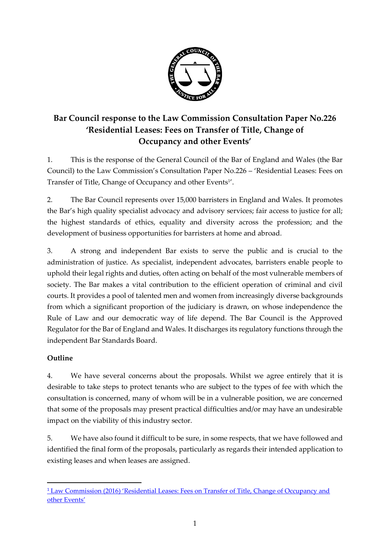

# **Bar Council response to the Law Commission Consultation Paper No.226 'Residential Leases: Fees on Transfer of Title, Change of Occupancy and other Events'**

1. This is the response of the General Council of the Bar of England and Wales (the Bar Council) to the Law Commission's Consultation Paper No.226 – 'Residential Leases: Fees on Transfer of Title, Change of Occupancy and other Events<sup>1'</sup>.

2. The Bar Council represents over 15,000 barristers in England and Wales. It promotes the Bar's high quality specialist advocacy and advisory services; fair access to justice for all; the highest standards of ethics, equality and diversity across the profession; and the development of business opportunities for barristers at home and abroad.

3. A strong and independent Bar exists to serve the public and is crucial to the administration of justice. As specialist, independent advocates, barristers enable people to uphold their legal rights and duties, often acting on behalf of the most vulnerable members of society. The Bar makes a vital contribution to the efficient operation of criminal and civil courts. It provides a pool of talented men and women from increasingly diverse backgrounds from which a significant proportion of the judiciary is drawn, on whose independence the Rule of Law and our democratic way of life depend. The Bar Council is the Approved Regulator for the Bar of England and Wales. It discharges its regulatory functions through the independent Bar Standards Board.

# **Outline**

1

4. We have several concerns about the proposals. Whilst we agree entirely that it is desirable to take steps to protect tenants who are subject to the types of fee with which the consultation is concerned, many of whom will be in a vulnerable position, we are concerned that some of the proposals may present practical difficulties and/or may have an undesirable impact on the viability of this industry sector.

5. We have also found it difficult to be sure, in some respects, that we have followed and identified the final form of the proposals, particularly as regards their intended application to existing leases and when leases are assigned.

<sup>&</sup>lt;sup>1</sup> Law Commission (2016) 'Residential Leases: Fees on Transfer of Title, Change of Occupancy and [other Events'](http://www.lawcom.gov.uk/wp-content/uploads/2015/10/cp226_residential_leases.pdf)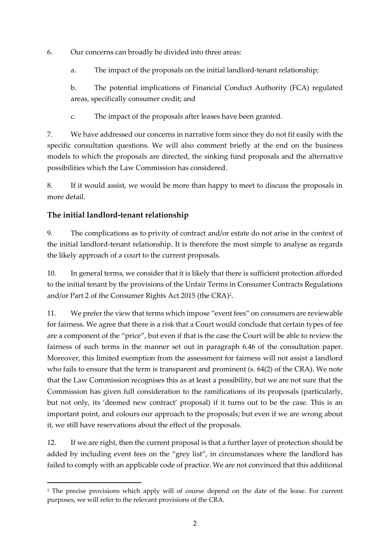6. Our concerns can broadly be divided into three areas:

a. The impact of the proposals on the initial landlord-tenant relationship;

b. The potential implications of Financial Conduct Authority (FCA) regulated areas, specifically consumer credit; and

c. The impact of the proposals after leases have been granted.

7. We have addressed our concerns in narrative form since they do not fit easily with the specific consultation questions. We will also comment briefly at the end on the business models to which the proposals are directed, the sinking fund proposals and the alternative possibilities which the Law Commission has considered.

8. If it would assist, we would be more than happy to meet to discuss the proposals in more detail.

# **The initial landlord-tenant relationship**

1

9. The complications as to privity of contract and/or estate do not arise in the context of the initial landlord-tenant relationship. It is therefore the most simple to analyse as regards the likely approach of a court to the current proposals.

10. In general terms, we consider that it is likely that there is sufficient protection afforded to the initial tenant by the provisions of the Unfair Terms in Consumer Contracts Regulations and/or Part 2 of the Consumer Rights Act 2015 (the CRA) 2 .

11. We prefer the view that terms which impose "event fees" on consumers are reviewable for fairness. We agree that there is a risk that a Court would conclude that certain types of fee are a component of the "price", but even if that is the case the Court will be able to review the fairness of such terms in the manner set out in paragraph 6.46 of the consultation paper. Moreover, this limited exemption from the assessment for fairness will not assist a landlord who fails to ensure that the term is transparent and prominent (s. 64(2) of the CRA). We note that the Law Commission recognises this as at least a possibility, but we are not sure that the Commission has given full consideration to the ramifications of its proposals (particularly, but not only, its 'deemed new contract' proposal) if it turns out to be the case. This is an important point, and colours our approach to the proposals; but even if we are wrong about it, we still have reservations about the effect of the proposals.

12. If we are right, then the current proposal is that a further layer of protection should be added by including event fees on the "grey list", in circumstances where the landlord has failed to comply with an applicable code of practice. We are not convinced that this additional

<sup>2</sup> The precise provisions which apply will of course depend on the date of the lease. For current purposes, we will refer to the relevant provisions of the CRA.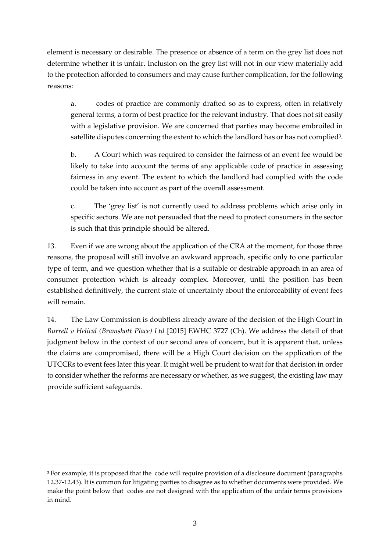element is necessary or desirable. The presence or absence of a term on the grey list does not determine whether it is unfair. Inclusion on the grey list will not in our view materially add to the protection afforded to consumers and may cause further complication, for the following reasons:

a. codes of practice are commonly drafted so as to express, often in relatively general terms, a form of best practice for the relevant industry. That does not sit easily with a legislative provision. We are concerned that parties may become embroiled in satellite disputes concerning the extent to which the landlord has or has not complied $^{\text{3}}$ .

b. A Court which was required to consider the fairness of an event fee would be likely to take into account the terms of any applicable code of practice in assessing fairness in any event. The extent to which the landlord had complied with the code could be taken into account as part of the overall assessment.

c. The 'grey list' is not currently used to address problems which arise only in specific sectors. We are not persuaded that the need to protect consumers in the sector is such that this principle should be altered.

13. Even if we are wrong about the application of the CRA at the moment, for those three reasons, the proposal will still involve an awkward approach, specific only to one particular type of term, and we question whether that is a suitable or desirable approach in an area of consumer protection which is already complex. Moreover, until the position has been established definitively, the current state of uncertainty about the enforceability of event fees will remain.

14. The Law Commission is doubtless already aware of the decision of the High Court in *Burrell v Helical (Bramshott Place) Ltd* [2015] EWHC 3727 (Ch). We address the detail of that judgment below in the context of our second area of concern, but it is apparent that, unless the claims are compromised, there will be a High Court decision on the application of the UTCCRs to event fees later this year. It might well be prudent to wait for that decision in order to consider whether the reforms are necessary or whether, as we suggest, the existing law may provide sufficient safeguards.

1

<sup>3</sup> For example, it is proposed that the code will require provision of a disclosure document (paragraphs 12.37-12.43). It is common for litigating parties to disagree as to whether documents were provided. We make the point below that codes are not designed with the application of the unfair terms provisions in mind.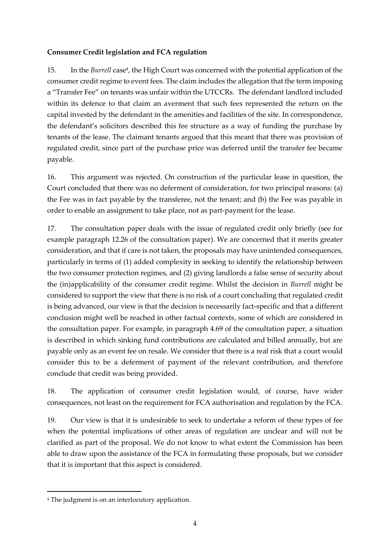#### **Consumer Credit legislation and FCA regulation**

15. In the *Burrell* case<sup>4</sup>, the High Court was concerned with the potential application of the consumer credit regime to event fees. The claim includes the allegation that the term imposing a "Transfer Fee" on tenants was unfair within the UTCCRs. The defendant landlord included within its defence to that claim an averment that such fees represented the return on the capital invested by the defendant in the amenities and facilities of the site. In correspondence, the defendant's solicitors described this fee structure as a way of funding the purchase by tenants of the lease. The claimant tenants argued that this meant that there was provision of regulated credit, since part of the purchase price was deferred until the transfer fee became payable.

16. This argument was rejected. On construction of the particular lease in question, the Court concluded that there was no deferment of consideration, for two principal reasons: (a) the Fee was in fact payable by the transferee, not the tenant; and (b) the Fee was payable in order to enable an assignment to take place, not as part-payment for the lease.

17. The consultation paper deals with the issue of regulated credit only briefly (see for example paragraph 12.26 of the consultation paper). We are concerned that it merits greater consideration, and that if care is not taken, the proposals may have unintended consequences, particularly in terms of (1) added complexity in seeking to identify the relationship between the two consumer protection regimes, and (2) giving landlords a false sense of security about the (in)applicability of the consumer credit regime. Whilst the decision in *Burrell* might be considered to support the view that there is no risk of a court concluding that regulated credit is being advanced, our view is that the decision is necessarily fact-specific and that a different conclusion might well be reached in other factual contexts, some of which are considered in the consultation paper. For example, in paragraph 4.69 of the consultation paper, a situation is described in which sinking fund contributions are calculated and billed annually, but are payable only as an event fee on resale. We consider that there is a real risk that a court would consider this to be a deferment of payment of the relevant contribution, and therefore conclude that credit was being provided.

18. The application of consumer credit legislation would, of course, have wider consequences, not least on the requirement for FCA authorisation and regulation by the FCA.

19. Our view is that it is undesirable to seek to undertake a reform of these types of fee when the potential implications of other areas of regulation are unclear and will not be clarified as part of the proposal. We do not know to what extent the Commission has been able to draw upon the assistance of the FCA in formulating these proposals, but we consider that it is important that this aspect is considered.

 $\overline{a}$ 

<sup>4</sup> The judgment is on an interlocutory application.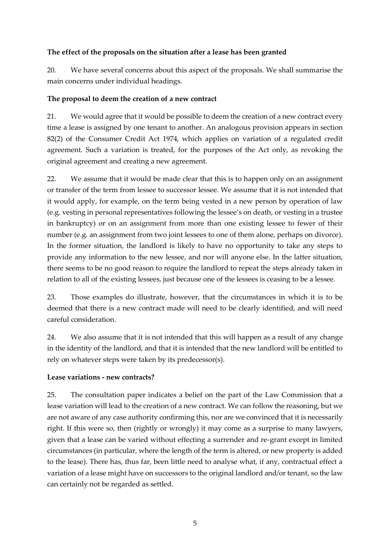#### **The effect of the proposals on the situation after a lease has been granted**

20. We have several concerns about this aspect of the proposals. We shall summarise the main concerns under individual headings.

#### **The proposal to deem the creation of a new contract**

21. We would agree that it would be possible to deem the creation of a new contract every time a lease is assigned by one tenant to another. An analogous provision appears in section 82(2) of the Consumer Credit Act 1974, which applies on variation of a regulated credit agreement. Such a variation is treated, for the purposes of the Act only, as revoking the original agreement and creating a new agreement.

22. We assume that it would be made clear that this is to happen only on an assignment or transfer of the term from lessee to successor lessee. We assume that it is not intended that it would apply, for example, on the term being vested in a new person by operation of law (e.g. vesting in personal representatives following the lessee's on death, or vesting in a trustee in bankruptcy) or on an assignment from more than one existing lessee to fewer of their number (e.g. an assignment from two joint lessees to one of them alone, perhaps on divorce). In the former situation, the landlord is likely to have no opportunity to take any steps to provide any information to the new lessee, and nor will anyone else. In the latter situation, there seems to be no good reason to require the landlord to repeat the steps already taken in relation to all of the existing lessees, just because one of the lessees is ceasing to be a lessee.

23. Those examples do illustrate, however, that the circumstances in which it is to be deemed that there is a new contract made will need to be clearly identified, and will need careful consideration.

24. We also assume that it is not intended that this will happen as a result of any change in the identity of the landlord, and that it is intended that the new landlord will be entitled to rely on whatever steps were taken by its predecessor(s).

#### **Lease variations - new contracts?**

25. The consultation paper indicates a belief on the part of the Law Commission that a lease variation will lead to the creation of a new contract. We can follow the reasoning, but we are not aware of any case authority confirming this, nor are we convinced that it is necessarily right. If this were so, then (rightly or wrongly) it may come as a surprise to many lawyers, given that a lease can be varied without effecting a surrender and re-grant except in limited circumstances (in particular, where the length of the term is altered, or new property is added to the lease). There has, thus far, been little need to analyse what, if any, contractual effect a variation of a lease might have on successors to the original landlord and/or tenant, so the law can certainly not be regarded as settled.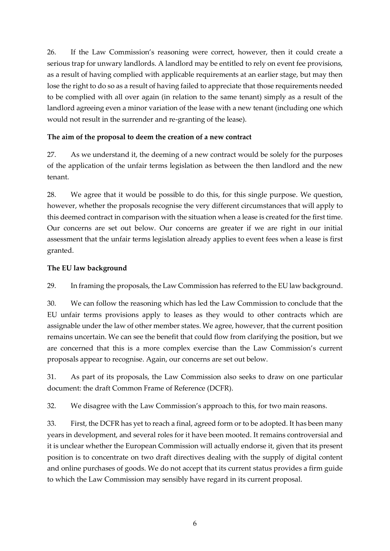26. If the Law Commission's reasoning were correct, however, then it could create a serious trap for unwary landlords. A landlord may be entitled to rely on event fee provisions, as a result of having complied with applicable requirements at an earlier stage, but may then lose the right to do so as a result of having failed to appreciate that those requirements needed to be complied with all over again (in relation to the same tenant) simply as a result of the landlord agreeing even a minor variation of the lease with a new tenant (including one which would not result in the surrender and re-granting of the lease).

#### **The aim of the proposal to deem the creation of a new contract**

27. As we understand it, the deeming of a new contract would be solely for the purposes of the application of the unfair terms legislation as between the then landlord and the new tenant.

28. We agree that it would be possible to do this, for this single purpose. We question, however, whether the proposals recognise the very different circumstances that will apply to this deemed contract in comparison with the situation when a lease is created for the first time. Our concerns are set out below. Our concerns are greater if we are right in our initial assessment that the unfair terms legislation already applies to event fees when a lease is first granted.

### **The EU law background**

29. In framing the proposals, the Law Commission has referred to the EU law background.

30. We can follow the reasoning which has led the Law Commission to conclude that the EU unfair terms provisions apply to leases as they would to other contracts which are assignable under the law of other member states. We agree, however, that the current position remains uncertain. We can see the benefit that could flow from clarifying the position, but we are concerned that this is a more complex exercise than the Law Commission's current proposals appear to recognise. Again, our concerns are set out below.

31. As part of its proposals, the Law Commission also seeks to draw on one particular document: the draft Common Frame of Reference (DCFR).

32. We disagree with the Law Commission's approach to this, for two main reasons.

33. First, the DCFR has yet to reach a final, agreed form or to be adopted. It has been many years in development, and several roles for it have been mooted. It remains controversial and it is unclear whether the European Commission will actually endorse it, given that its present position is to concentrate on two draft directives dealing with the supply of digital content and online purchases of goods. We do not accept that its current status provides a firm guide to which the Law Commission may sensibly have regard in its current proposal.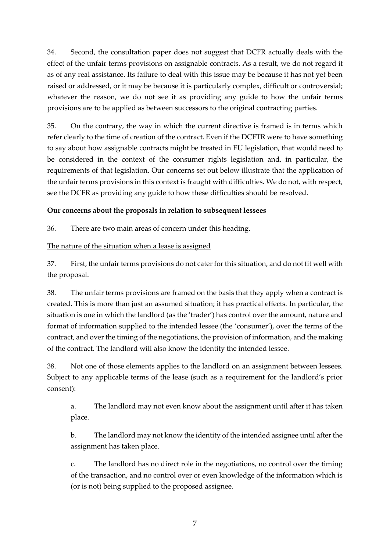34. Second, the consultation paper does not suggest that DCFR actually deals with the effect of the unfair terms provisions on assignable contracts. As a result, we do not regard it as of any real assistance. Its failure to deal with this issue may be because it has not yet been raised or addressed, or it may be because it is particularly complex, difficult or controversial; whatever the reason, we do not see it as providing any guide to how the unfair terms provisions are to be applied as between successors to the original contracting parties.

35. On the contrary, the way in which the current directive is framed is in terms which refer clearly to the time of creation of the contract. Even if the DCFTR were to have something to say about how assignable contracts might be treated in EU legislation, that would need to be considered in the context of the consumer rights legislation and, in particular, the requirements of that legislation. Our concerns set out below illustrate that the application of the unfair terms provisions in this context is fraught with difficulties. We do not, with respect, see the DCFR as providing any guide to how these difficulties should be resolved.

#### **Our concerns about the proposals in relation to subsequent lessees**

36. There are two main areas of concern under this heading.

#### The nature of the situation when a lease is assigned

37. First, the unfair terms provisions do not cater for this situation, and do not fit well with the proposal.

38. The unfair terms provisions are framed on the basis that they apply when a contract is created. This is more than just an assumed situation; it has practical effects. In particular, the situation is one in which the landlord (as the 'trader') has control over the amount, nature and format of information supplied to the intended lessee (the 'consumer'), over the terms of the contract, and over the timing of the negotiations, the provision of information, and the making of the contract. The landlord will also know the identity the intended lessee.

38. Not one of those elements applies to the landlord on an assignment between lessees. Subject to any applicable terms of the lease (such as a requirement for the landlord's prior consent):

a. The landlord may not even know about the assignment until after it has taken place.

b. The landlord may not know the identity of the intended assignee until after the assignment has taken place.

c. The landlord has no direct role in the negotiations, no control over the timing of the transaction, and no control over or even knowledge of the information which is (or is not) being supplied to the proposed assignee.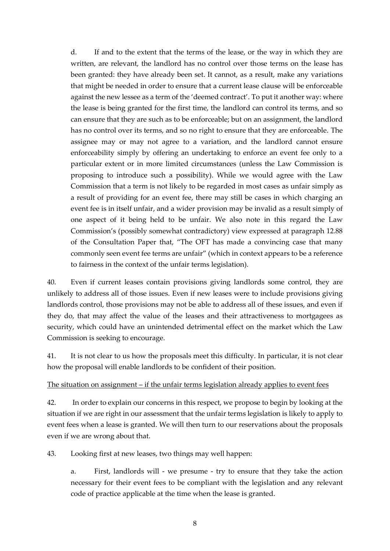d. If and to the extent that the terms of the lease, or the way in which they are written, are relevant, the landlord has no control over those terms on the lease has been granted: they have already been set. It cannot, as a result, make any variations that might be needed in order to ensure that a current lease clause will be enforceable against the new lessee as a term of the 'deemed contract'. To put it another way: where the lease is being granted for the first time, the landlord can control its terms, and so can ensure that they are such as to be enforceable; but on an assignment, the landlord has no control over its terms, and so no right to ensure that they are enforceable. The assignee may or may not agree to a variation, and the landlord cannot ensure enforceability simply by offering an undertaking to enforce an event fee only to a particular extent or in more limited circumstances (unless the Law Commission is proposing to introduce such a possibility). While we would agree with the Law Commission that a term is not likely to be regarded in most cases as unfair simply as a result of providing for an event fee, there may still be cases in which charging an event fee is in itself unfair, and a wider provision may be invalid as a result simply of one aspect of it being held to be unfair. We also note in this regard the Law Commission's (possibly somewhat contradictory) view expressed at paragraph 12.88 of the Consultation Paper that, "The OFT has made a convincing case that many commonly seen event fee terms are unfair" (which in context appears to be a reference to fairness in the context of the unfair terms legislation).

40. Even if current leases contain provisions giving landlords some control, they are unlikely to address all of those issues. Even if new leases were to include provisions giving landlords control, those provisions may not be able to address all of these issues, and even if they do, that may affect the value of the leases and their attractiveness to mortgagees as security, which could have an unintended detrimental effect on the market which the Law Commission is seeking to encourage.

41. It is not clear to us how the proposals meet this difficulty. In particular, it is not clear how the proposal will enable landlords to be confident of their position.

#### The situation on assignment – if the unfair terms legislation already applies to event fees

42. In order to explain our concerns in this respect, we propose to begin by looking at the situation if we are right in our assessment that the unfair terms legislation is likely to apply to event fees when a lease is granted. We will then turn to our reservations about the proposals even if we are wrong about that.

43. Looking first at new leases, two things may well happen:

a. First, landlords will - we presume - try to ensure that they take the action necessary for their event fees to be compliant with the legislation and any relevant code of practice applicable at the time when the lease is granted.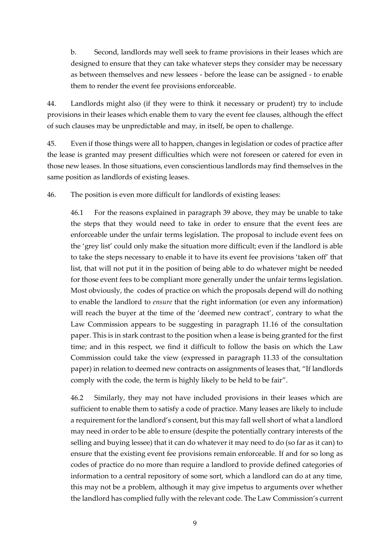b. Second, landlords may well seek to frame provisions in their leases which are designed to ensure that they can take whatever steps they consider may be necessary as between themselves and new lessees - before the lease can be assigned - to enable them to render the event fee provisions enforceable.

44. Landlords might also (if they were to think it necessary or prudent) try to include provisions in their leases which enable them to vary the event fee clauses, although the effect of such clauses may be unpredictable and may, in itself, be open to challenge.

45. Even if those things were all to happen, changes in legislation or codes of practice after the lease is granted may present difficulties which were not foreseen or catered for even in those new leases. In those situations, even conscientious landlords may find themselves in the same position as landlords of existing leases.

46. The position is even more difficult for landlords of existing leases:

46.1 For the reasons explained in paragraph 39 above, they may be unable to take the steps that they would need to take in order to ensure that the event fees are enforceable under the unfair terms legislation. The proposal to include event fees on the 'grey list' could only make the situation more difficult; even if the landlord is able to take the steps necessary to enable it to have its event fee provisions 'taken off' that list, that will not put it in the position of being able to do whatever might be needed for those event fees to be compliant more generally under the unfair terms legislation. Most obviously, the codes of practice on which the proposals depend will do nothing to enable the landlord to *ensure* that the right information (or even any information) will reach the buyer at the time of the 'deemed new contract', contrary to what the Law Commission appears to be suggesting in paragraph 11.16 of the consultation paper. This is in stark contrast to the position when a lease is being granted for the first time; and in this respect, we find it difficult to follow the basis on which the Law Commission could take the view (expressed in paragraph 11.33 of the consultation paper) in relation to deemed new contracts on assignments of leases that, "If landlords comply with the code, the term is highly likely to be held to be fair".

46.2 Similarly, they may not have included provisions in their leases which are sufficient to enable them to satisfy a code of practice. Many leases are likely to include a requirement for the landlord's consent, but this may fall well short of what a landlord may need in order to be able to ensure (despite the potentially contrary interests of the selling and buying lessee) that it can do whatever it may need to do (so far as it can) to ensure that the existing event fee provisions remain enforceable. If and for so long as codes of practice do no more than require a landlord to provide defined categories of information to a central repository of some sort, which a landlord can do at any time, this may not be a problem, although it may give impetus to arguments over whether the landlord has complied fully with the relevant code. The Law Commission's current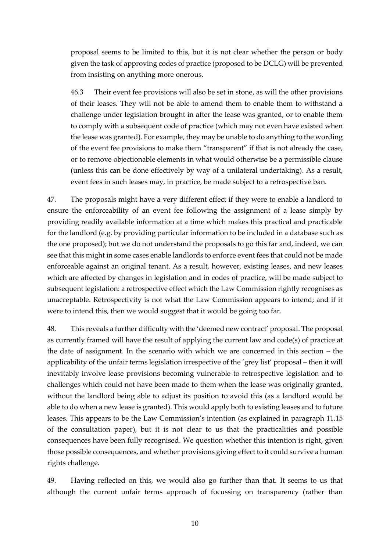proposal seems to be limited to this, but it is not clear whether the person or body given the task of approving codes of practice (proposed to be DCLG) will be prevented from insisting on anything more onerous.

46.3 Their event fee provisions will also be set in stone, as will the other provisions of their leases. They will not be able to amend them to enable them to withstand a challenge under legislation brought in after the lease was granted, or to enable them to comply with a subsequent code of practice (which may not even have existed when the lease was granted). For example, they may be unable to do anything to the wording of the event fee provisions to make them "transparent" if that is not already the case, or to remove objectionable elements in what would otherwise be a permissible clause (unless this can be done effectively by way of a unilateral undertaking). As a result, event fees in such leases may, in practice, be made subject to a retrospective ban.

47. The proposals might have a very different effect if they were to enable a landlord to ensure the enforceability of an event fee following the assignment of a lease simply by providing readily available information at a time which makes this practical and practicable for the landlord (e.g. by providing particular information to be included in a database such as the one proposed); but we do not understand the proposals to go this far and, indeed, we can see that this might in some cases enable landlords to enforce event fees that could not be made enforceable against an original tenant. As a result, however, existing leases, and new leases which are affected by changes in legislation and in codes of practice, will be made subject to subsequent legislation: a retrospective effect which the Law Commission rightly recognises as unacceptable. Retrospectivity is not what the Law Commission appears to intend; and if it were to intend this, then we would suggest that it would be going too far.

48. This reveals a further difficulty with the 'deemed new contract' proposal. The proposal as currently framed will have the result of applying the current law and code(s) of practice at the date of assignment. In the scenario with which we are concerned in this section – the applicability of the unfair terms legislation irrespective of the 'grey list' proposal – then it will inevitably involve lease provisions becoming vulnerable to retrospective legislation and to challenges which could not have been made to them when the lease was originally granted, without the landlord being able to adjust its position to avoid this (as a landlord would be able to do when a new lease is granted). This would apply both to existing leases and to future leases. This appears to be the Law Commission's intention (as explained in paragraph 11.15 of the consultation paper), but it is not clear to us that the practicalities and possible consequences have been fully recognised. We question whether this intention is right, given those possible consequences, and whether provisions giving effect to it could survive a human rights challenge.

49. Having reflected on this, we would also go further than that. It seems to us that although the current unfair terms approach of focussing on transparency (rather than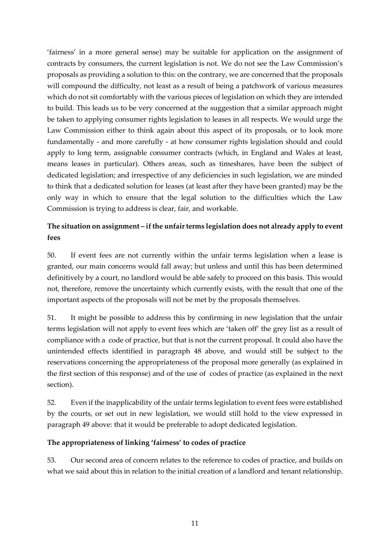'fairness' in a more general sense) may be suitable for application on the assignment of contracts by consumers, the current legislation is not. We do not see the Law Commission's proposals as providing a solution to this: on the contrary, we are concerned that the proposals will compound the difficulty, not least as a result of being a patchwork of various measures which do not sit comfortably with the various pieces of legislation on which they are intended to build. This leads us to be very concerned at the suggestion that a similar approach might be taken to applying consumer rights legislation to leases in all respects. We would urge the Law Commission either to think again about this aspect of its proposals, or to look more fundamentally - and more carefully - at how consumer rights legislation should and could apply to long term, assignable consumer contracts (which, in England and Wales at least, means leases in particular). Others areas, such as timeshares, have been the subject of dedicated legislation; and irrespective of any deficiencies in such legislation, we are minded to think that a dedicated solution for leases (at least after they have been granted) may be the only way in which to ensure that the legal solution to the difficulties which the Law Commission is trying to address is clear, fair, and workable.

# **The situation on assignment – if the unfair terms legislation does not already apply to event fees**

50. If event fees are not currently within the unfair terms legislation when a lease is granted, our main concerns would fall away; but unless and until this has been determined definitively by a court, no landlord would be able safely to proceed on this basis. This would not, therefore, remove the uncertainty which currently exists, with the result that one of the important aspects of the proposals will not be met by the proposals themselves.

51. It might be possible to address this by confirming in new legislation that the unfair terms legislation will not apply to event fees which are 'taken off' the grey list as a result of compliance with a code of practice, but that is not the current proposal. It could also have the unintended effects identified in paragraph 48 above, and would still be subject to the reservations concerning the appropriateness of the proposal more generally (as explained in the first section of this response) and of the use of codes of practice (as explained in the next section).

52. Even if the inapplicability of the unfair terms legislation to event fees were established by the courts, or set out in new legislation, we would still hold to the view expressed in paragraph 49 above: that it would be preferable to adopt dedicated legislation.

#### **The appropriateness of linking 'fairness' to codes of practice**

53. Our second area of concern relates to the reference to codes of practice, and builds on what we said about this in relation to the initial creation of a landlord and tenant relationship.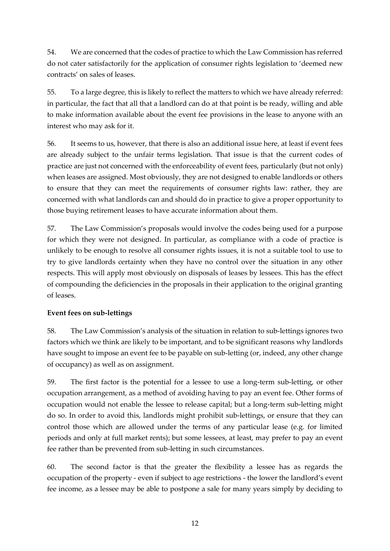54. We are concerned that the codes of practice to which the Law Commission has referred do not cater satisfactorily for the application of consumer rights legislation to 'deemed new contracts' on sales of leases.

55. To a large degree, this is likely to reflect the matters to which we have already referred: in particular, the fact that all that a landlord can do at that point is be ready, willing and able to make information available about the event fee provisions in the lease to anyone with an interest who may ask for it.

56. It seems to us, however, that there is also an additional issue here, at least if event fees are already subject to the unfair terms legislation. That issue is that the current codes of practice are just not concerned with the enforceability of event fees, particularly (but not only) when leases are assigned. Most obviously, they are not designed to enable landlords or others to ensure that they can meet the requirements of consumer rights law: rather, they are concerned with what landlords can and should do in practice to give a proper opportunity to those buying retirement leases to have accurate information about them.

57. The Law Commission's proposals would involve the codes being used for a purpose for which they were not designed. In particular, as compliance with a code of practice is unlikely to be enough to resolve all consumer rights issues, it is not a suitable tool to use to try to give landlords certainty when they have no control over the situation in any other respects. This will apply most obviously on disposals of leases by lessees. This has the effect of compounding the deficiencies in the proposals in their application to the original granting of leases.

## **Event fees on sub-lettings**

58. The Law Commission's analysis of the situation in relation to sub-lettings ignores two factors which we think are likely to be important, and to be significant reasons why landlords have sought to impose an event fee to be payable on sub-letting (or, indeed, any other change of occupancy) as well as on assignment.

59. The first factor is the potential for a lessee to use a long-term sub-letting, or other occupation arrangement, as a method of avoiding having to pay an event fee. Other forms of occupation would not enable the lessee to release capital; but a long-term sub-letting might do so. In order to avoid this, landlords might prohibit sub-lettings, or ensure that they can control those which are allowed under the terms of any particular lease (e.g. for limited periods and only at full market rents); but some lessees, at least, may prefer to pay an event fee rather than be prevented from sub-letting in such circumstances.

60. The second factor is that the greater the flexibility a lessee has as regards the occupation of the property - even if subject to age restrictions - the lower the landlord's event fee income, as a lessee may be able to postpone a sale for many years simply by deciding to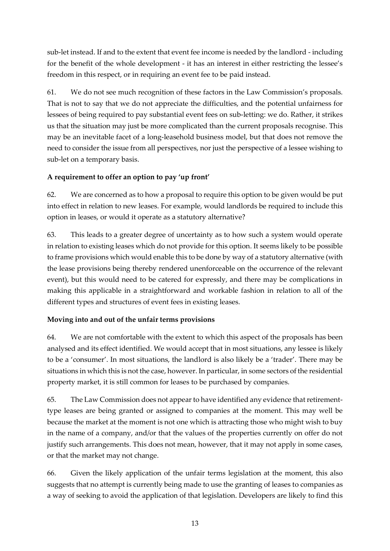sub-let instead. If and to the extent that event fee income is needed by the landlord - including for the benefit of the whole development - it has an interest in either restricting the lessee's freedom in this respect, or in requiring an event fee to be paid instead.

61. We do not see much recognition of these factors in the Law Commission's proposals. That is not to say that we do not appreciate the difficulties, and the potential unfairness for lessees of being required to pay substantial event fees on sub-letting: we do. Rather, it strikes us that the situation may just be more complicated than the current proposals recognise. This may be an inevitable facet of a long-leasehold business model, but that does not remove the need to consider the issue from all perspectives, nor just the perspective of a lessee wishing to sub-let on a temporary basis.

## **A requirement to offer an option to pay 'up front'**

62. We are concerned as to how a proposal to require this option to be given would be put into effect in relation to new leases. For example, would landlords be required to include this option in leases, or would it operate as a statutory alternative?

63. This leads to a greater degree of uncertainty as to how such a system would operate in relation to existing leases which do not provide for this option. It seems likely to be possible to frame provisions which would enable this to be done by way of a statutory alternative (with the lease provisions being thereby rendered unenforceable on the occurrence of the relevant event), but this would need to be catered for expressly, and there may be complications in making this applicable in a straightforward and workable fashion in relation to all of the different types and structures of event fees in existing leases.

## **Moving into and out of the unfair terms provisions**

64. We are not comfortable with the extent to which this aspect of the proposals has been analysed and its effect identified. We would accept that in most situations, any lessee is likely to be a 'consumer'. In most situations, the landlord is also likely be a 'trader'. There may be situations in which this is not the case, however. In particular, in some sectors of the residential property market, it is still common for leases to be purchased by companies.

65. The Law Commission does not appear to have identified any evidence that retirementtype leases are being granted or assigned to companies at the moment. This may well be because the market at the moment is not one which is attracting those who might wish to buy in the name of a company, and/or that the values of the properties currently on offer do not justify such arrangements. This does not mean, however, that it may not apply in some cases, or that the market may not change.

66. Given the likely application of the unfair terms legislation at the moment, this also suggests that no attempt is currently being made to use the granting of leases to companies as a way of seeking to avoid the application of that legislation. Developers are likely to find this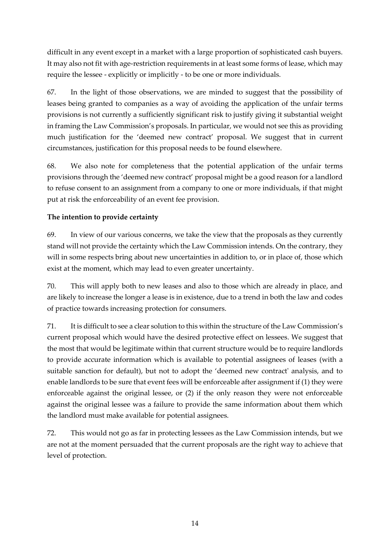difficult in any event except in a market with a large proportion of sophisticated cash buyers. It may also not fit with age-restriction requirements in at least some forms of lease, which may require the lessee - explicitly or implicitly - to be one or more individuals.

67. In the light of those observations, we are minded to suggest that the possibility of leases being granted to companies as a way of avoiding the application of the unfair terms provisions is not currently a sufficiently significant risk to justify giving it substantial weight in framing the Law Commission's proposals. In particular, we would not see this as providing much justification for the 'deemed new contract' proposal. We suggest that in current circumstances, justification for this proposal needs to be found elsewhere.

68. We also note for completeness that the potential application of the unfair terms provisions through the 'deemed new contract' proposal might be a good reason for a landlord to refuse consent to an assignment from a company to one or more individuals, if that might put at risk the enforceability of an event fee provision.

## **The intention to provide certainty**

69. In view of our various concerns, we take the view that the proposals as they currently stand will not provide the certainty which the Law Commission intends. On the contrary, they will in some respects bring about new uncertainties in addition to, or in place of, those which exist at the moment, which may lead to even greater uncertainty.

70. This will apply both to new leases and also to those which are already in place, and are likely to increase the longer a lease is in existence, due to a trend in both the law and codes of practice towards increasing protection for consumers.

71. It is difficult to see a clear solution to this within the structure of the Law Commission's current proposal which would have the desired protective effect on lessees. We suggest that the most that would be legitimate within that current structure would be to require landlords to provide accurate information which is available to potential assignees of leases (with a suitable sanction for default), but not to adopt the 'deemed new contract' analysis, and to enable landlords to be sure that event fees will be enforceable after assignment if (1) they were enforceable against the original lessee, or (2) if the only reason they were not enforceable against the original lessee was a failure to provide the same information about them which the landlord must make available for potential assignees.

72. This would not go as far in protecting lessees as the Law Commission intends, but we are not at the moment persuaded that the current proposals are the right way to achieve that level of protection.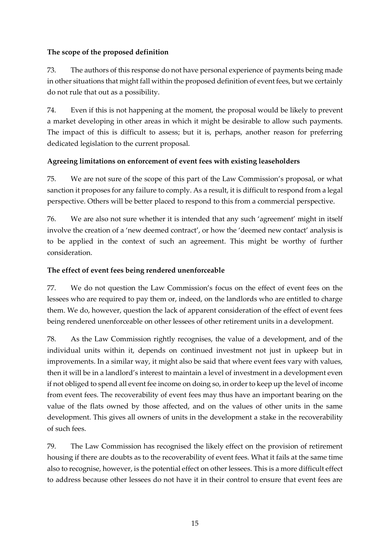### **The scope of the proposed definition**

73. The authors of this response do not have personal experience of payments being made in other situations that might fall within the proposed definition of event fees, but we certainly do not rule that out as a possibility.

74. Even if this is not happening at the moment, the proposal would be likely to prevent a market developing in other areas in which it might be desirable to allow such payments. The impact of this is difficult to assess; but it is, perhaps, another reason for preferring dedicated legislation to the current proposal.

### **Agreeing limitations on enforcement of event fees with existing leaseholders**

75. We are not sure of the scope of this part of the Law Commission's proposal, or what sanction it proposes for any failure to comply. As a result, it is difficult to respond from a legal perspective. Others will be better placed to respond to this from a commercial perspective.

76. We are also not sure whether it is intended that any such 'agreement' might in itself involve the creation of a 'new deemed contract', or how the 'deemed new contact' analysis is to be applied in the context of such an agreement. This might be worthy of further consideration.

### **The effect of event fees being rendered unenforceable**

77. We do not question the Law Commission's focus on the effect of event fees on the lessees who are required to pay them or, indeed, on the landlords who are entitled to charge them. We do, however, question the lack of apparent consideration of the effect of event fees being rendered unenforceable on other lessees of other retirement units in a development.

78. As the Law Commission rightly recognises, the value of a development, and of the individual units within it, depends on continued investment not just in upkeep but in improvements. In a similar way, it might also be said that where event fees vary with values, then it will be in a landlord's interest to maintain a level of investment in a development even if not obliged to spend all event fee income on doing so, in order to keep up the level of income from event fees. The recoverability of event fees may thus have an important bearing on the value of the flats owned by those affected, and on the values of other units in the same development. This gives all owners of units in the development a stake in the recoverability of such fees.

79. The Law Commission has recognised the likely effect on the provision of retirement housing if there are doubts as to the recoverability of event fees. What it fails at the same time also to recognise, however, is the potential effect on other lessees. This is a more difficult effect to address because other lessees do not have it in their control to ensure that event fees are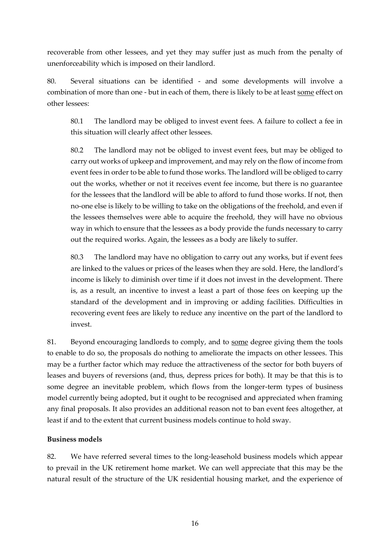recoverable from other lessees, and yet they may suffer just as much from the penalty of unenforceability which is imposed on their landlord.

80. Several situations can be identified - and some developments will involve a combination of more than one - but in each of them, there is likely to be at least some effect on other lessees:

80.1 The landlord may be obliged to invest event fees. A failure to collect a fee in this situation will clearly affect other lessees.

80.2 The landlord may not be obliged to invest event fees, but may be obliged to carry out works of upkeep and improvement, and may rely on the flow of income from event fees in order to be able to fund those works. The landlord will be obliged to carry out the works, whether or not it receives event fee income, but there is no guarantee for the lessees that the landlord will be able to afford to fund those works. If not, then no-one else is likely to be willing to take on the obligations of the freehold, and even if the lessees themselves were able to acquire the freehold, they will have no obvious way in which to ensure that the lessees as a body provide the funds necessary to carry out the required works. Again, the lessees as a body are likely to suffer.

80.3 The landlord may have no obligation to carry out any works, but if event fees are linked to the values or prices of the leases when they are sold. Here, the landlord's income is likely to diminish over time if it does not invest in the development. There is, as a result, an incentive to invest a least a part of those fees on keeping up the standard of the development and in improving or adding facilities. Difficulties in recovering event fees are likely to reduce any incentive on the part of the landlord to invest.

81. Beyond encouraging landlords to comply, and to some degree giving them the tools to enable to do so, the proposals do nothing to ameliorate the impacts on other lessees. This may be a further factor which may reduce the attractiveness of the sector for both buyers of leases and buyers of reversions (and, thus, depress prices for both). It may be that this is to some degree an inevitable problem, which flows from the longer-term types of business model currently being adopted, but it ought to be recognised and appreciated when framing any final proposals. It also provides an additional reason not to ban event fees altogether, at least if and to the extent that current business models continue to hold sway.

#### **Business models**

82. We have referred several times to the long-leasehold business models which appear to prevail in the UK retirement home market. We can well appreciate that this may be the natural result of the structure of the UK residential housing market, and the experience of